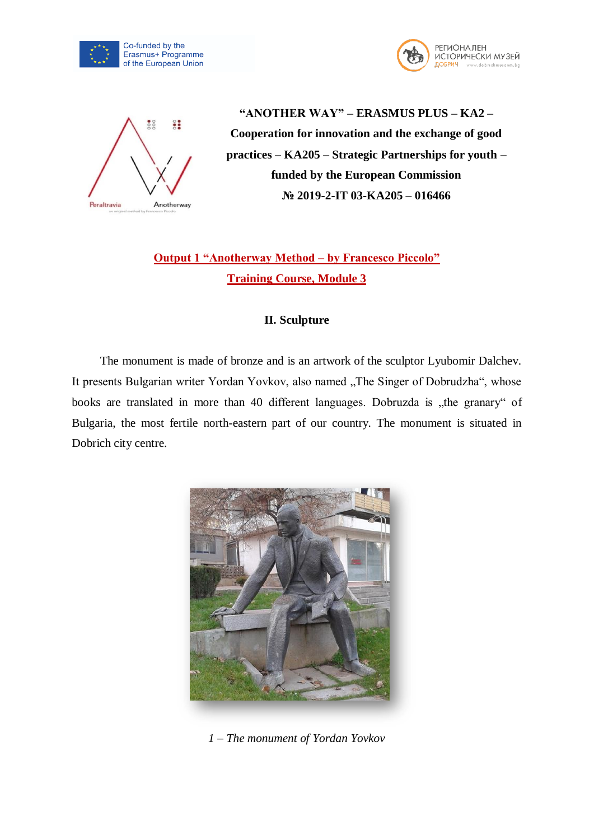





**"ANOTHER WAY" – ERASMUS PLUS – KA2 – Cooperation for innovation and the exchange of good practices – KA205 – Strategic Partnerships for youth – funded by the European Commission № 2019-2-IT 03-KA205 – 016466**

**Output 1 "Anotherway Method – by Francesco Piccolo" Training Course, Module 3**

## **II. Sculpture**

The monument is made of bronze and is an artwork of the sculptor Lyubomir Dalchev. It presents Bulgarian writer Yordan Yovkov, also named "The Singer of Dobrudzha", whose books are translated in more than 40 different languages. Dobruzda is "the granary" of Bulgaria, the most fertile north-eastern part of our country. The monument is situated in Dobrich city centre.



*1 – The monument of Yordan Yovkov*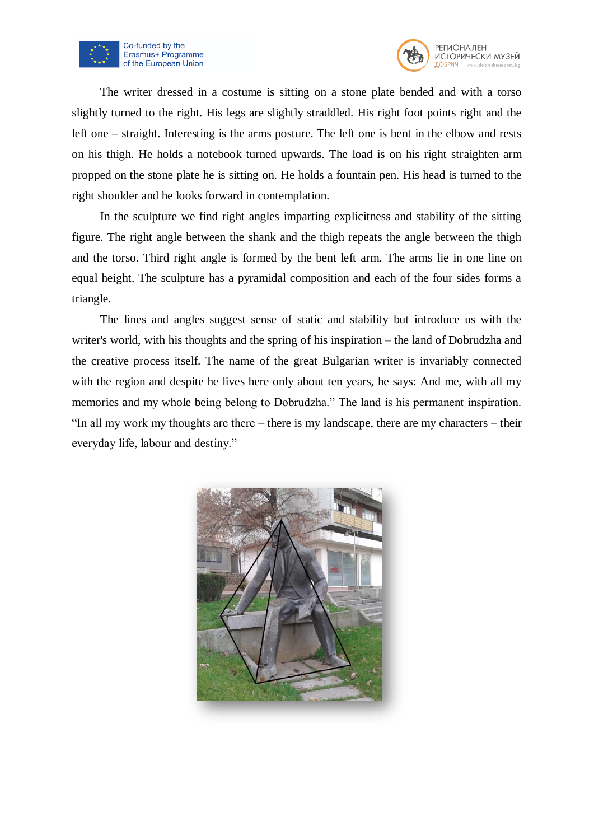



The writer dressed in a costume is sitting on a stone plate bended and with a torso slightly turned to the right. His legs are slightly straddled. His right foot points right and the left one – straight. Interesting is the arms posture. The left one is bent in the elbow and rests on his thigh. He holds a notebook turned upwards. The load is on his right straighten arm propped on the stone plate he is sitting on. He holds a fountain pen. His head is turned to the right shoulder and he looks forward in contemplation.

In the sculpture we find right angles imparting explicitness and stability of the sitting figure. The right angle between the shank and the thigh repeats the angle between the thigh and the torso. Third right angle is formed by the bent left arm. The arms lie in one line on equal height. The sculpture has a pyramidal composition and each of the four sides forms a triangle.

The lines and angles suggest sense of static and stability but introduce us with the writer's world, with his thoughts and the spring of his inspiration – the land of Dobrudzha and the creative process itself. The name of the great Bulgarian writer is invariably connected with the region and despite he lives here only about ten years, he says: And me, with all my memories and my whole being belong to Dobrudzha." The land is his permanent inspiration. "In all my work my thoughts are there – there is my landscape, there are my characters – their everyday life, labour and destiny."